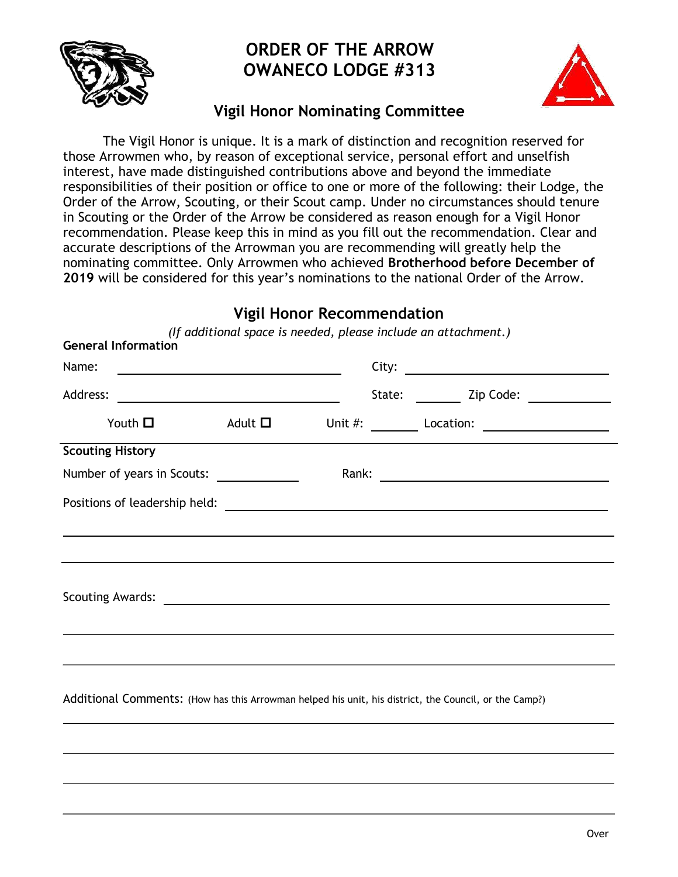

## **ORDER OF THE ARROW OWANECO LODGE #313**



## **Vigil Honor Nominating Committee**

The Vigil Honor is unique. It is a mark of distinction and recognition reserved for those Arrowmen who, by reason of exceptional service, personal effort and unselfish interest, have made distinguished contributions above and beyond the immediate responsibilities of their position or office to one or more of the following: their Lodge, the Order of the Arrow, Scouting, or their Scout camp. Under no circumstances should tenure in Scouting or the Order of the Arrow be considered as reason enough for a Vigil Honor recommendation. Please keep this in mind as you fill out the recommendation. Clear and accurate descriptions of the Arrowman you are recommending will greatly help the nominating committee. Only Arrowmen who achieved **Brotherhood before December of 2019** will be considered for this year's nominations to the national Order of the Arrow.

## **Vigil Honor Recommendation**

| (If additional space is needed, please include an attachment.)<br><b>General Information</b> |                 |  |                       |  |  |
|----------------------------------------------------------------------------------------------|-----------------|--|-----------------------|--|--|
| Name:                                                                                        |                 |  | City:                 |  |  |
| Address:                                                                                     |                 |  | State: Zip Code: 2010 |  |  |
| Youth $\Box$                                                                                 | Adult $\square$ |  |                       |  |  |
| <b>Scouting History</b>                                                                      |                 |  |                       |  |  |
| Number of years in Scouts: ______________                                                    |                 |  |                       |  |  |
|                                                                                              |                 |  |                       |  |  |
|                                                                                              |                 |  |                       |  |  |
|                                                                                              |                 |  |                       |  |  |

Additional Comments: (How has this Arrowman helped his unit, his district, the Council, or the Camp?)